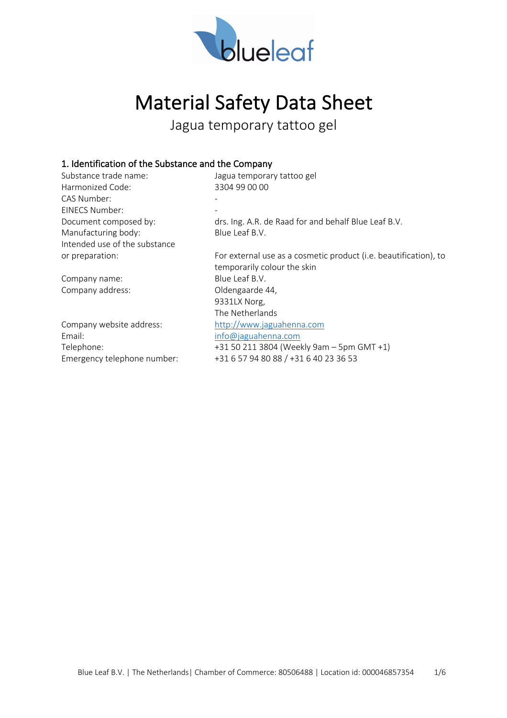

# Material Safety Data Sheet

Jagua temporary tattoo gel

#### 1. Identification of the Substance and the Company

| Substance trade name:         | Jagua temporary tattoo gel                                       |
|-------------------------------|------------------------------------------------------------------|
| Harmonized Code:              | 3304 99 00 00                                                    |
| CAS Number:                   |                                                                  |
| EINECS Number:                |                                                                  |
| Document composed by:         | drs. Ing. A.R. de Raad for and behalf Blue Leaf B.V.             |
| Manufacturing body:           | Blue Leaf B.V.                                                   |
| Intended use of the substance |                                                                  |
| or preparation:               | For external use as a cosmetic product (i.e. beautification), to |
|                               | temporarily colour the skin                                      |
| Company name:                 | Blue Leaf B.V.                                                   |
| Company address:              | Oldengaarde 44,                                                  |
|                               | 9331LX Norg,                                                     |
|                               | The Netherlands                                                  |
| Company website address:      | http://www.jaguahenna.com                                        |
| Email:                        | info@jaguahenna.com                                              |
| Telephone:                    | +31 50 211 3804 (Weekly 9am - 5pm GMT +1)                        |
| Emergency telephone number:   | +31 6 57 94 80 88 / +31 6 40 23 36 53                            |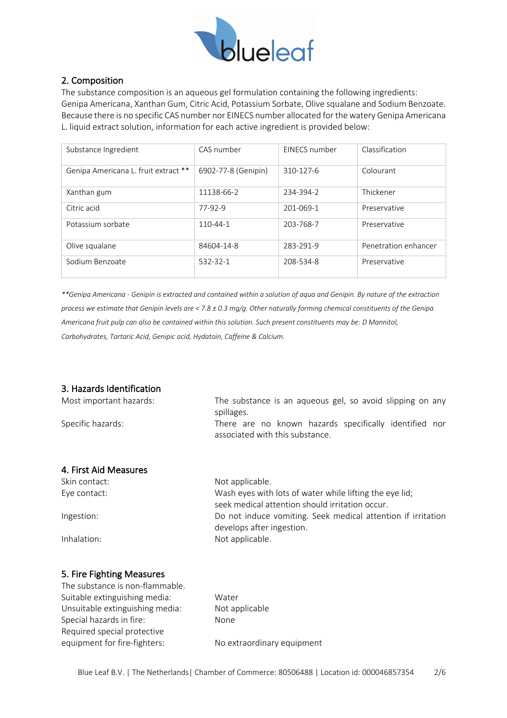

## 2. Composition

The substance composition is an aqueous gel formulation containing the following ingredients: Genipa Americana, Xanthan Gum, Citric Acid, Potassium Sorbate, Olive squalane and Sodium Benzoate. Because there is no specific CAS number nor EINECS number allocated for the watery Genipa Americana L. liquid extract solution, information for each active ingredient is provided below:

| Substance Ingredient                 | CAS number          | EINECS number | Classification       |
|--------------------------------------|---------------------|---------------|----------------------|
| Genipa Americana L. fruit extract ** | 6902-77-8 (Genipin) | 310-127-6     | Colourant            |
| Xanthan gum                          | 11138-66-2          | 234-394-2     | Thickener            |
| Citric acid                          | 77-92-9             | 201-069-1     | Preservative         |
| Potassium sorbate                    | 110-44-1            | 203-768-7     | Preservative         |
| Olive squalane                       | 84604-14-8          | 283-291-9     | Penetration enhancer |
| Sodium Benzoate                      | 532-32-1            | 208-534-8     | Preservative         |

*\*\*Genipa Americana - Genipin is extracted and contained within a solution of aqua and Genipin. By nature of the extraction process we estimate that Genipin levels are < 7.8 ± 0.3 mg/g. Other naturally forming chemical constituents of the Genipa Americana fruit pulp can also be contained within this solution. Such present constituents may be: D Mannitol, Carbohydrates, Tartaric Acid, Genipic acid, Hydatoin, Caffeine & Calcium.* 

## 3. Hazards Identification

| Most important hazards: | The substance is an aqueous gel, so avoid slipping on any<br>spillages.                                    |
|-------------------------|------------------------------------------------------------------------------------------------------------|
| Specific hazards:       | There are no known hazards specifically identified nor<br>associated with this substance.                  |
| 4. First Aid Measures   |                                                                                                            |
| Skin contact:           | Not applicable.                                                                                            |
| Eye contact:            | Wash eyes with lots of water while lifting the eye lid;<br>seek medical attention should irritation occur. |
| Ingestion:              | Do not induce vomiting. Seek medical attention if irritation                                               |
|                         | develops after ingestion.                                                                                  |
| Inhalation:             | Not applicable.                                                                                            |

## 5. Fire Fighting Measures

| The substance is non-flammable. |
|---------------------------------|
| Suitable extinguishing media:   |
| Unsuitable extinguishing media: |
| Special hazards in fire:        |
| Required special protective     |
| equipment for fire-fighters:    |

Water Not applicable None No extraordinary equipment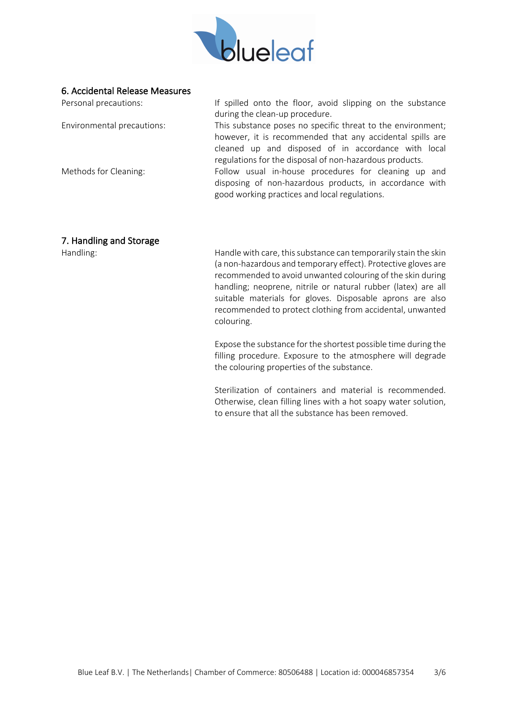

#### 6. Accidental Release Measures

| Personal precautions:      | If spilled onto the floor, avoid slipping on the substance  |
|----------------------------|-------------------------------------------------------------|
|                            | during the clean-up procedure.                              |
| Environmental precautions: | This substance poses no specific threat to the environment; |
|                            | however, it is recommended that any accidental spills are   |
|                            | cleaned up and disposed of in accordance with local         |
|                            | regulations for the disposal of non-hazardous products.     |
| Methods for Cleaning:      | Follow usual in-house procedures for cleaning up and        |
|                            | disposing of non-hazardous products, in accordance with     |
|                            | good working practices and local regulations.               |
|                            |                                                             |

#### 7. Handling and Storage

Handling: Handle with care, this substance can temporarily stain the skin (a non-hazardous and temporary effect). Protective gloves are recommended to avoid unwanted colouring of the skin during handling; neoprene, nitrile or natural rubber (latex) are all suitable materials for gloves. Disposable aprons are also recommended to protect clothing from accidental, unwanted colouring.

> Expose the substance for the shortest possible time during the filling procedure. Exposure to the atmosphere will degrade the colouring properties of the substance.

> Sterilization of containers and material is recommended. Otherwise, clean filling lines with a hot soapy water solution, to ensure that all the substance has been removed.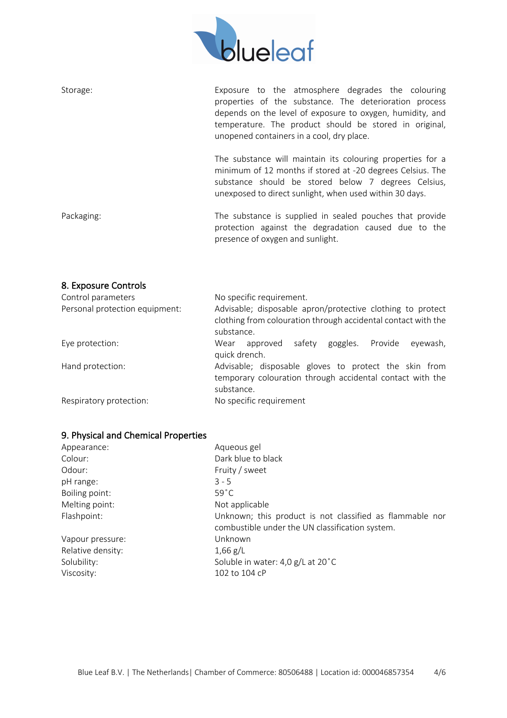

| Storage:   | Exposure to the atmosphere degrades the colouring<br>properties of the substance. The deterioration process<br>depends on the level of exposure to oxygen, humidity, and<br>temperature. The product should be stored in original,<br>unopened containers in a cool, dry place. |
|------------|---------------------------------------------------------------------------------------------------------------------------------------------------------------------------------------------------------------------------------------------------------------------------------|
|            | The substance will maintain its colouring properties for a<br>minimum of 12 months if stored at -20 degrees Celsius. The<br>substance should be stored below 7 degrees Celsius,<br>unexposed to direct sunlight, when used within 30 days.                                      |
| Packaging: | The substance is supplied in sealed pouches that provide<br>protection against the degradation caused due to the<br>presence of oxygen and sunlight.                                                                                                                            |

#### 8. Exposure Controls

| Control parameters             | No specific requirement.                                                                                                                  |
|--------------------------------|-------------------------------------------------------------------------------------------------------------------------------------------|
| Personal protection equipment: | Advisable; disposable apron/protective clothing to protect<br>clothing from colouration through accidental contact with the<br>substance. |
| Eye protection:                | safety goggles. Provide<br>approved<br>Wear<br>eyewash,<br>quick drench.                                                                  |
| Hand protection:               | Advisable; disposable gloves to protect the skin from<br>temporary colouration through accidental contact with the<br>substance.          |
| Respiratory protection:        | No specific requirement                                                                                                                   |

# 9. Physical and Chemical Properties

| Appearance:       | Aqueous gel                                                                                                 |
|-------------------|-------------------------------------------------------------------------------------------------------------|
| Colour:           | Dark blue to black                                                                                          |
| Odour:            | Fruity / sweet                                                                                              |
| pH range:         | $3 - 5$                                                                                                     |
| Boiling point:    | $59^{\circ}$ C                                                                                              |
| Melting point:    | Not applicable                                                                                              |
| Flashpoint:       | Unknown; this product is not classified as flammable nor<br>combustible under the UN classification system. |
| Vapour pressure:  | Unknown                                                                                                     |
| Relative density: | $1,66$ g/L                                                                                                  |
| Solubility:       | Soluble in water: 4,0 g/L at 20°C                                                                           |
| Viscosity:        | 102 to 104 cP                                                                                               |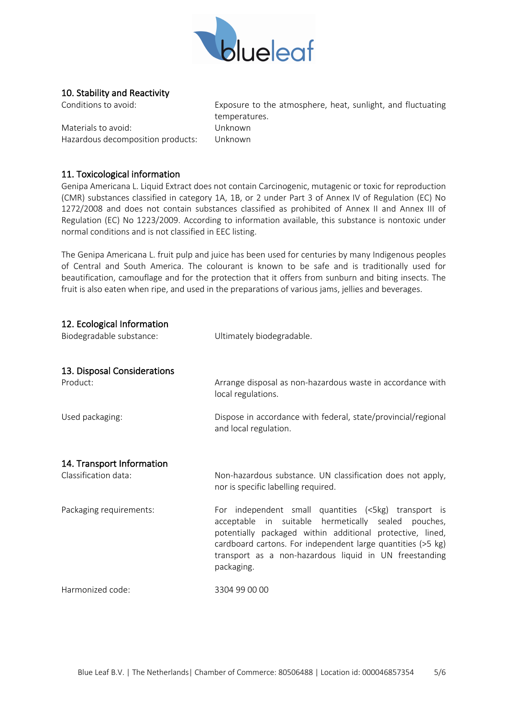

#### 10. Stability and Reactivity

Materials to avoid: Unknown Hazardous decomposition products: Unknown

Conditions to avoid: Exposure to the atmosphere, heat, sunlight, and fluctuating temperatures.

#### 11. Toxicological information

Genipa Americana L. Liquid Extract does not contain Carcinogenic, mutagenic or toxic for reproduction (CMR) substances classified in category 1A, 1B, or 2 under Part 3 of Annex IV of Regulation (EC) No 1272/2008 and does not contain substances classified as prohibited of Annex II and Annex III of Regulation (EC) No 1223/2009. According to information available, this substance is nontoxic under normal conditions and is not classified in EEC listing.

The Genipa Americana L. fruit pulp and juice has been used for centuries by many Indigenous peoples of Central and South America. The colourant is known to be safe and is traditionally used for beautification, camouflage and for the protection that it offers from sunburn and biting insects. The fruit is also eaten when ripe, and used in the preparations of various jams, jellies and beverages.

#### 12. Ecological Information

| Biodegradable substance:                | Ultimately biodegradable.                                                                                                                                                                                                                                                                                       |
|-----------------------------------------|-----------------------------------------------------------------------------------------------------------------------------------------------------------------------------------------------------------------------------------------------------------------------------------------------------------------|
| 13. Disposal Considerations<br>Product: | Arrange disposal as non-hazardous waste in accordance with<br>local regulations.                                                                                                                                                                                                                                |
| Used packaging:                         | Dispose in accordance with federal, state/provincial/regional<br>and local regulation.                                                                                                                                                                                                                          |
| 14. Transport Information               |                                                                                                                                                                                                                                                                                                                 |
| Classification data:                    | Non-hazardous substance. UN classification does not apply,<br>nor is specific labelling required.                                                                                                                                                                                                               |
| Packaging requirements:                 | For independent small quantities (<5kg) transport is<br>acceptable in suitable hermetically sealed pouches,<br>potentially packaged within additional protective, lined,<br>cardboard cartons. For independent large quantities (>5 kg)<br>transport as a non-hazardous liquid in UN freestanding<br>packaging. |
| Harmonized code:                        | 3304 99 00 00                                                                                                                                                                                                                                                                                                   |